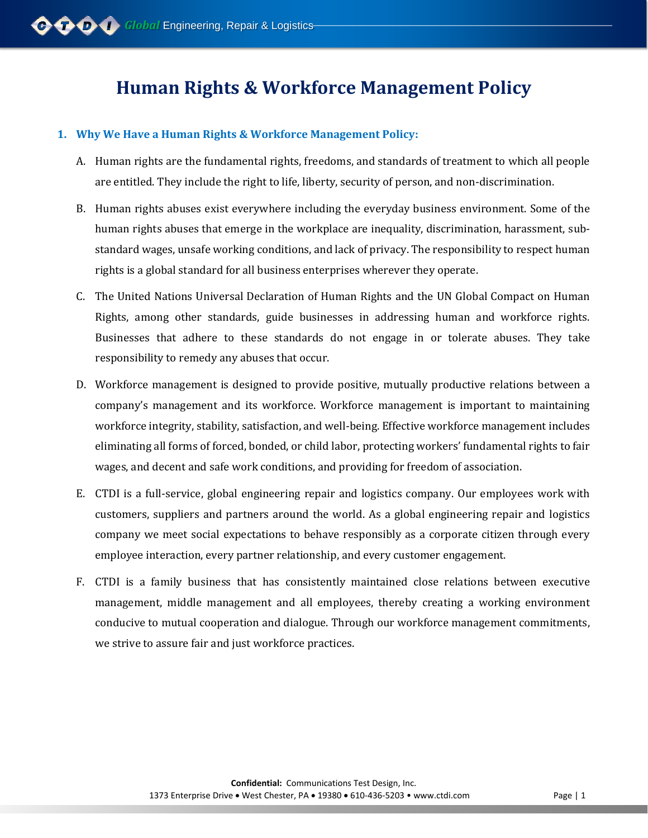# **Human Rights & Workforce Management Policy**

## **1. Why We Have a Human Rights & Workforce Management Policy:**

- A. Human rights are the fundamental rights, freedoms, and standards of treatment to which all people are entitled. They include the right to life, liberty, security of person, and non-discrimination.
- B. Human rights abuses exist everywhere including the everyday business environment. Some of the human rights abuses that emerge in the workplace are inequality, discrimination, harassment, substandard wages, unsafe working conditions, and lack of privacy. The responsibility to respect human rights is a global standard for all business enterprises wherever they operate.
- C. The United Nations Universal Declaration of Human Rights and the UN Global Compact on Human Rights, among other standards, guide businesses in addressing human and workforce rights. Businesses that adhere to these standards do not engage in or tolerate abuses. They take responsibility to remedy any abuses that occur.
- D. Workforce management is designed to provide positive, mutually productive relations between a company's management and its workforce. Workforce management is important to maintaining workforce integrity, stability, satisfaction, and well-being. Effective workforce management includes eliminating all forms of forced, bonded, or child labor, protecting workers' fundamental rights to fair wages, and decent and safe work conditions, and providing for freedom of association.
- E. CTDI is a full-service, global engineering repair and logistics company. Our employees work with customers, suppliers and partners around the world. As a global engineering repair and logistics company we meet social expectations to behave responsibly as a corporate citizen through every employee interaction, every partner relationship, and every customer engagement.
- F. CTDI is a family business that has consistently maintained close relations between executive management, middle management and all employees, thereby creating a working environment conducive to mutual cooperation and dialogue. Through our workforce management commitments, we strive to assure fair and just workforce practices.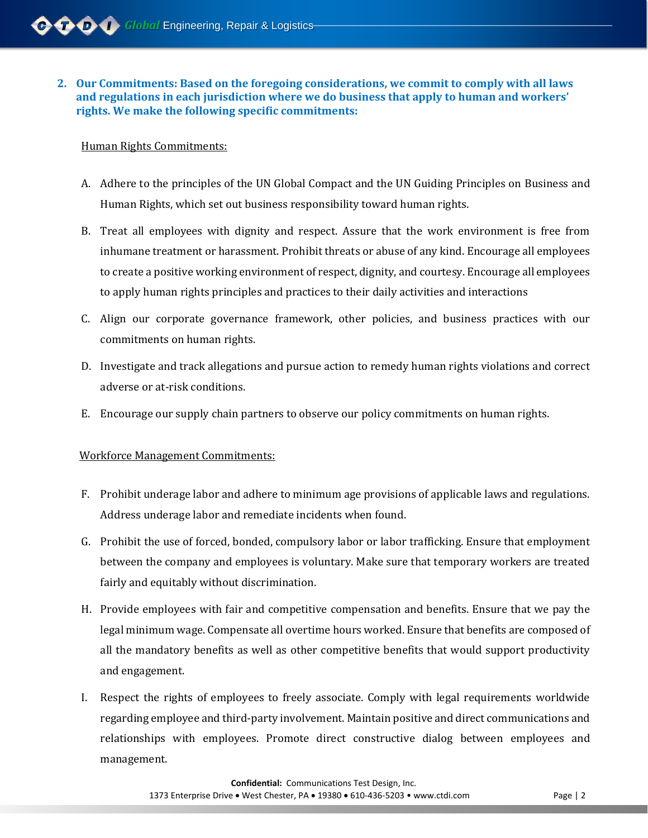### **2. Our Commitments: Based on the foregoing considerations, we commit to comply with all laws and regulations in each jurisdiction where we do business that apply to human and workers' rights. We make the following specific commitments:**

### Human Rights Commitments:

- A. Adhere to the principles of the UN Global Compact and the UN Guiding Principles on Business and Human Rights, which set out business responsibility toward human rights.
- B. Treat all employees with dignity and respect. Assure that the work environment is free from inhumane treatment or harassment. Prohibit threats or abuse of any kind. Encourage all employees to create a positive working environment of respect, dignity, and courtesy. Encourage all employees to apply human rights principles and practices to their daily activities and interactions
- C. Align our corporate governance framework, other policies, and business practices with our commitments on human rights.
- D. Investigate and track allegations and pursue action to remedy human rights violations and correct adverse or at-risk conditions.
- E. Encourage our supply chain partners to observe our policy commitments on human rights.

## Workforce Management Commitments:

- F. Prohibit underage labor and adhere to minimum age provisions of applicable laws and regulations. Address underage labor and remediate incidents when found.
- G. Prohibit the use of forced, bonded, compulsory labor or labor trafficking. Ensure that employment between the company and employees is voluntary. Make sure that temporary workers are treated fairly and equitably without discrimination.
- H. Provide employees with fair and competitive compensation and benefits. Ensure that we pay the legal minimum wage. Compensate all overtime hours worked. Ensure that benefits are composed of all the mandatory benefits as well as other competitive benefits that would support productivity and engagement.
- I. Respect the rights of employees to freely associate. Comply with legal requirements worldwide regarding employee and third-party involvement. Maintain positive and direct communications and relationships with employees. Promote direct constructive dialog between employees and management.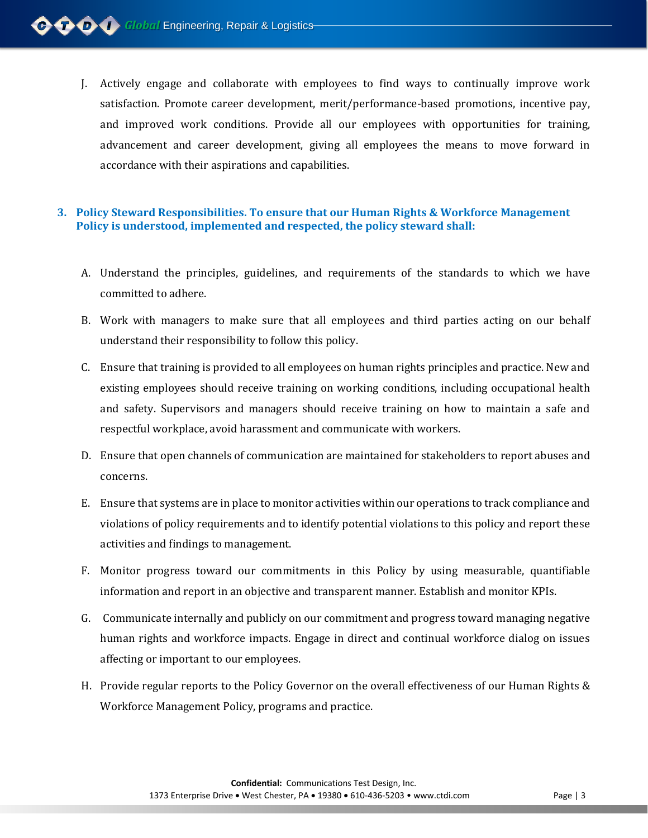J. Actively engage and collaborate with employees to find ways to continually improve work satisfaction. Promote career development, merit/performance-based promotions, incentive pay, and improved work conditions. Provide all our employees with opportunities for training, advancement and career development, giving all employees the means to move forward in accordance with their aspirations and capabilities.

## **3. Policy Steward Responsibilities. To ensure that our Human Rights & Workforce Management Policy is understood, implemented and respected, the policy steward shall:**

- A. Understand the principles, guidelines, and requirements of the standards to which we have committed to adhere.
- B. Work with managers to make sure that all employees and third parties acting on our behalf understand their responsibility to follow this policy.
- C. Ensure that training is provided to all employees on human rights principles and practice. New and existing employees should receive training on working conditions, including occupational health and safety. Supervisors and managers should receive training on how to maintain a safe and respectful workplace, avoid harassment and communicate with workers.
- D. Ensure that open channels of communication are maintained for stakeholders to report abuses and concerns.
- E. Ensure that systems are in place to monitor activities within our operations to track compliance and violations of policy requirements and to identify potential violations to this policy and report these activities and findings to management.
- F. Monitor progress toward our commitments in this Policy by using measurable, quantifiable information and report in an objective and transparent manner. Establish and monitor KPIs.
- G. Communicate internally and publicly on our commitment and progress toward managing negative human rights and workforce impacts. Engage in direct and continual workforce dialog on issues affecting or important to our employees.
- H. Provide regular reports to the Policy Governor on the overall effectiveness of our Human Rights & Workforce Management Policy, programs and practice.